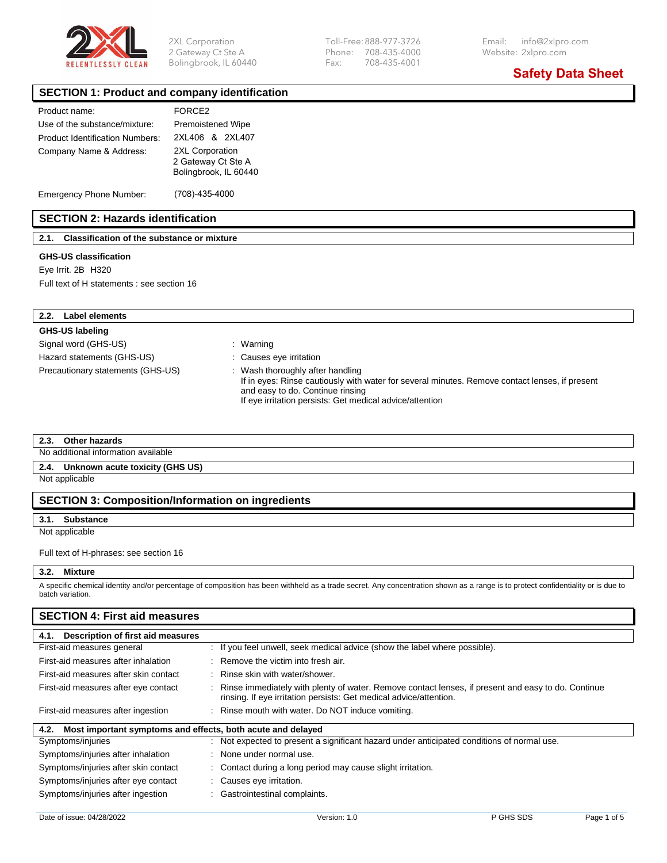

Bolingbrook, IL 60440 Fax:

2 Gateway Ct Ste A Phone: 708-435-4000 Website: 2xlpro.com

**Safety Data Sheet**

#### **SECTION 1: Product and company identification**

| Product name:                   | FORCE <sub>2</sub>                                             |
|---------------------------------|----------------------------------------------------------------|
| Use of the substance/mixture:   | <b>Premoistened Wipe</b>                                       |
| Product Identification Numbers: | 2XI 406 & 2XI 407                                              |
| Company Name & Address:         | 2XL Corporation<br>2 Gateway Ct Ste A<br>Bolingbrook, IL 60440 |

Emergency Phone Number: (708)-435-4000

### **SECTION 2: Hazards identification**

**2.1. Classification of the substance or mixture** 

#### **GHS-US classification**

Eye Irrit. 2B H320

Full text of H statements : see section 16

#### **2.2. Label elements**

#### **GHS-US labeling**

Signal word (GHS-US) **in the state of the Signal word** (GHS-US) Hazard statements (GHS-US) : Causes eye irritation

- 
- 
- Precautionary statements (GHS-US) : Wash thoroughly after handling

If in eyes: Rinse cautiously with water for several minutes. Remove contact lenses, if present and easy to do. Continue rinsing If eye irritation persists: Get medical advice/attention

#### **2.3. Other hazards**

No additional information available

#### **2.4. Unknown acute toxicity (GHS US)**

Not applicable

#### **SECTION 3: Composition/Information on ingredients**

#### **3.1. Substance**

Not applicable

#### Full text of H-phrases: see section 16

#### **3.2. Mixture**

A specific chemical identity and/or percentage of composition has been withheld as a trade secret. Any concentration shown as a range is to protect confidentiality or is due to batch variation.

#### **SECTION 4: First aid measures**

| Description of first aid measures<br>4.1.                           |                                                                                                                                                                          |  |
|---------------------------------------------------------------------|--------------------------------------------------------------------------------------------------------------------------------------------------------------------------|--|
| First-aid measures general                                          | : If you feel unwell, seek medical advice (show the label where possible).                                                                                               |  |
| First-aid measures after inhalation                                 | : Remove the victim into fresh air.                                                                                                                                      |  |
| First-aid measures after skin contact                               | : Rinse skin with water/shower.                                                                                                                                          |  |
| First-aid measures after eye contact                                | Rinse immediately with plenty of water. Remove contact lenses, if present and easy to do. Continue<br>rinsing. If eye irritation persists: Get medical advice/attention. |  |
| First-aid measures after ingestion                                  | : Rinse mouth with water. Do NOT induce vomiting.                                                                                                                        |  |
| Most important symptoms and effects, both acute and delayed<br>4.2. |                                                                                                                                                                          |  |
| Symptoms/injuries                                                   | : Not expected to present a significant hazard under anticipated conditions of normal use.                                                                               |  |
| Symptoms/injuries after inhalation                                  | : None under normal use.                                                                                                                                                 |  |
| Symptoms/injuries after skin contact                                | : Contact during a long period may cause slight irritation.                                                                                                              |  |
| Symptoms/injuries after eye contact                                 | : Causes eye irritation.                                                                                                                                                 |  |
| Symptoms/injuries after ingestion                                   | Gastrointestinal complaints.                                                                                                                                             |  |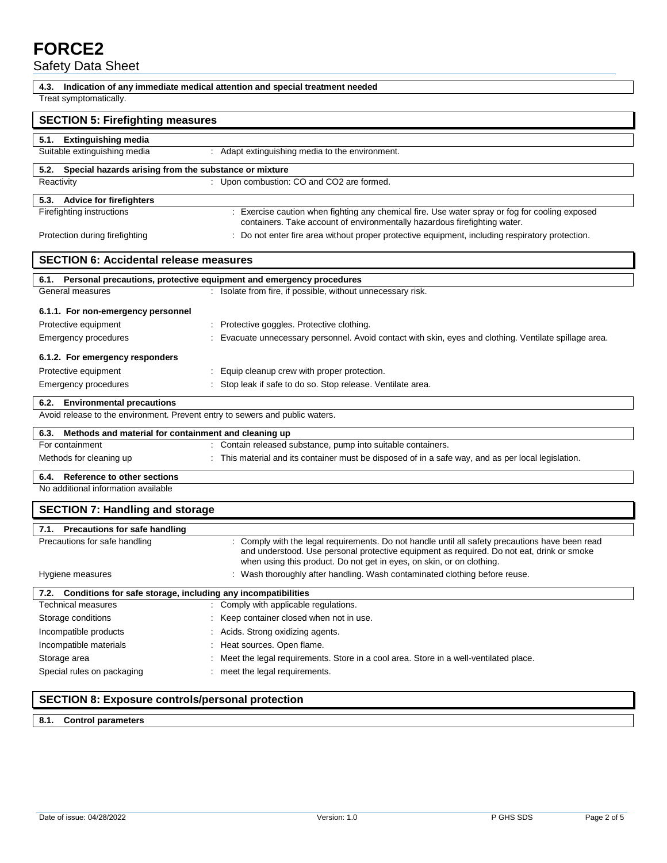# **FORCE2**

Safety Data Sheet

| 4.3.                                                                         | Indication of any immediate medical attention and special treatment needed                                                                                         |
|------------------------------------------------------------------------------|--------------------------------------------------------------------------------------------------------------------------------------------------------------------|
| Treat symptomatically.                                                       |                                                                                                                                                                    |
| <b>SECTION 5: Firefighting measures</b>                                      |                                                                                                                                                                    |
| 5.1. Extinguishing media                                                     |                                                                                                                                                                    |
| Suitable extinguishing media                                                 | : Adapt extinguishing media to the environment.                                                                                                                    |
| 5.2. Special hazards arising from the substance or mixture                   |                                                                                                                                                                    |
| Reactivity                                                                   | : Upon combustion: CO and CO2 are formed.                                                                                                                          |
| 5.3. Advice for firefighters                                                 |                                                                                                                                                                    |
| Firefighting instructions                                                    | : Exercise caution when fighting any chemical fire. Use water spray or fog for cooling exposed                                                                     |
|                                                                              | containers. Take account of environmentally hazardous firefighting water.                                                                                          |
| Protection during firefighting                                               | : Do not enter fire area without proper protective equipment, including respiratory protection.                                                                    |
| <b>SECTION 6: Accidental release measures</b>                                |                                                                                                                                                                    |
| 6.1. Personal precautions, protective equipment and emergency procedures     |                                                                                                                                                                    |
| General measures                                                             | : Isolate from fire, if possible, without unnecessary risk.                                                                                                        |
| 6.1.1. For non-emergency personnel                                           |                                                                                                                                                                    |
| Protective equipment                                                         | : Protective goggles. Protective clothing.                                                                                                                         |
| <b>Emergency procedures</b>                                                  | Evacuate unnecessary personnel. Avoid contact with skin, eyes and clothing. Ventilate spillage area.                                                               |
|                                                                              |                                                                                                                                                                    |
| 6.1.2. For emergency responders                                              |                                                                                                                                                                    |
| Protective equipment                                                         | : Equip cleanup crew with proper protection.                                                                                                                       |
| Emergency procedures                                                         | Stop leak if safe to do so. Stop release. Ventilate area.                                                                                                          |
| 6.2. Environmental precautions                                               |                                                                                                                                                                    |
| Avoid release to the environment. Prevent entry to sewers and public waters. |                                                                                                                                                                    |
| Methods and material for containment and cleaning up<br>6.3.                 |                                                                                                                                                                    |
| For containment                                                              | : Contain released substance, pump into suitable containers.                                                                                                       |
| Methods for cleaning up                                                      | : This material and its container must be disposed of in a safe way, and as per local legislation.                                                                 |
| 6.4.<br>Reference to other sections                                          |                                                                                                                                                                    |
| No additional information available                                          |                                                                                                                                                                    |
| <b>SECTION 7: Handling and storage</b>                                       |                                                                                                                                                                    |
| 7.1. Precautions for safe handling                                           |                                                                                                                                                                    |
| Precautions for safe handling                                                | Comply with the legal requirements. Do not handle until all safety precautions have been read                                                                      |
|                                                                              | and understood. Use personal protective equipment as required. Do not eat, drink or smoke<br>when using this product. Do not get in eyes, on skin, or on clothing. |
| Hygiene measures                                                             | : Wash thoroughly after handling. Wash contaminated clothing before reuse.                                                                                         |
| Conditions for safe storage, including any incompatibilities<br>7.2.         |                                                                                                                                                                    |
| Technical measures                                                           | : Comply with applicable regulations.                                                                                                                              |
| Storage conditions                                                           | Keep container closed when not in use.                                                                                                                             |
| Incompatible products                                                        | Acids. Strong oxidizing agents.                                                                                                                                    |
| Incompatible materials                                                       | Heat sources. Open flame.                                                                                                                                          |
| Storage area                                                                 | Meet the legal requirements. Store in a cool area. Store in a well-ventilated place.                                                                               |
| Special rules on packaging                                                   | meet the legal requirements.                                                                                                                                       |
| <b>SECTION 8: Exposure controls/personal protection</b>                      |                                                                                                                                                                    |

### **SECTION 8: Exposure controls/personal protection**

**8.1. Control parameters**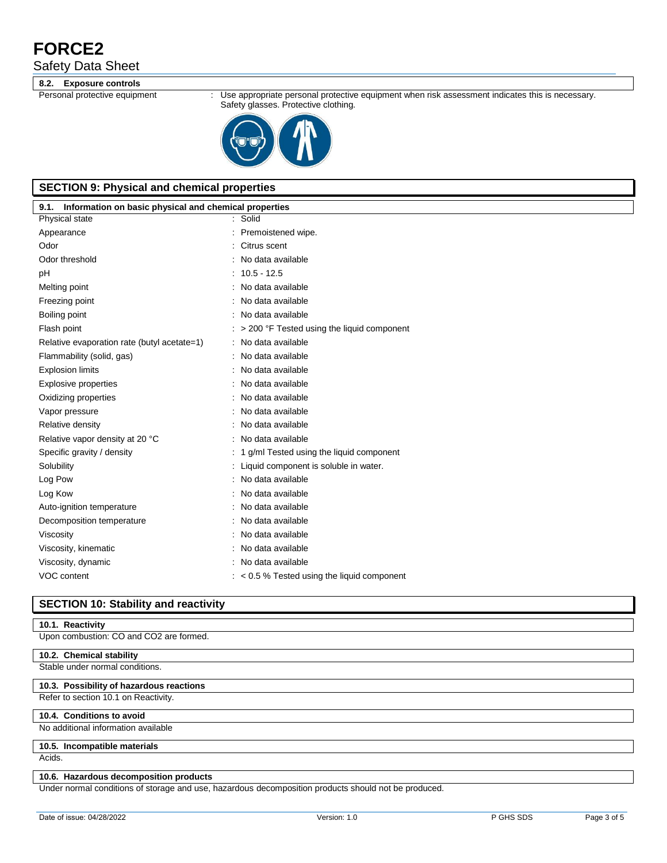# **FORCE2**

Safety Data Sheet

#### **8.2. Exposure controls**

Personal protective equipment : Use appropriate personal protective equipment when risk assessment indicates this is necessary. Safety glasses. Protective clothing.



# **SECTION 9: Physical and chemical properties**

| Information on basic physical and chemical properties<br>9.1. |                                                   |  |  |
|---------------------------------------------------------------|---------------------------------------------------|--|--|
| Physical state                                                | : Solid                                           |  |  |
| Appearance                                                    | Premoistened wipe.                                |  |  |
| Odor                                                          | Citrus scent                                      |  |  |
| Odor threshold                                                | No data available                                 |  |  |
| pH                                                            | $: 10.5 - 12.5$                                   |  |  |
| Melting point                                                 | No data available                                 |  |  |
| Freezing point                                                | No data available                                 |  |  |
| Boiling point                                                 | No data available                                 |  |  |
| Flash point                                                   | > 200 °F Tested using the liquid component        |  |  |
| Relative evaporation rate (butyl acetate=1)                   | No data available                                 |  |  |
| Flammability (solid, gas)                                     | : No data available                               |  |  |
| <b>Explosion limits</b>                                       | No data available                                 |  |  |
| Explosive properties                                          | No data available                                 |  |  |
| Oxidizing properties                                          | No data available                                 |  |  |
| Vapor pressure                                                | No data available                                 |  |  |
| Relative density                                              | No data available                                 |  |  |
| Relative vapor density at 20 °C                               | : No data available                               |  |  |
| Specific gravity / density                                    | : 1 g/ml Tested using the liquid component        |  |  |
| Solubility                                                    | Liquid component is soluble in water.             |  |  |
| Log Pow                                                       | No data available                                 |  |  |
| Log Kow                                                       | : No data available                               |  |  |
| Auto-ignition temperature                                     | No data available                                 |  |  |
| Decomposition temperature                                     | No data available                                 |  |  |
| Viscosity                                                     | : No data available                               |  |  |
| Viscosity, kinematic                                          | No data available                                 |  |  |
| Viscosity, dynamic                                            | : No data available                               |  |  |
| VOC content                                                   | $\approx$ 0.5 % Tested using the liquid component |  |  |
|                                                               |                                                   |  |  |

#### **SECTION 10: Stability and reactivity**

#### **10.1. Reactivity**

Upon combustion: CO and CO2 are formed.

#### **10.2. Chemical stability**

Stable under normal conditions.

#### **10.3. Possibility of hazardous reactions**

#### Refer to section 10.1 on Reactivity.

#### **10.4. Conditions to avoid**

No additional information available

# **10.5. Incompatible materials**

Acids.

#### **10.6. Hazardous decomposition products**

Under normal conditions of storage and use, hazardous decomposition products should not be produced.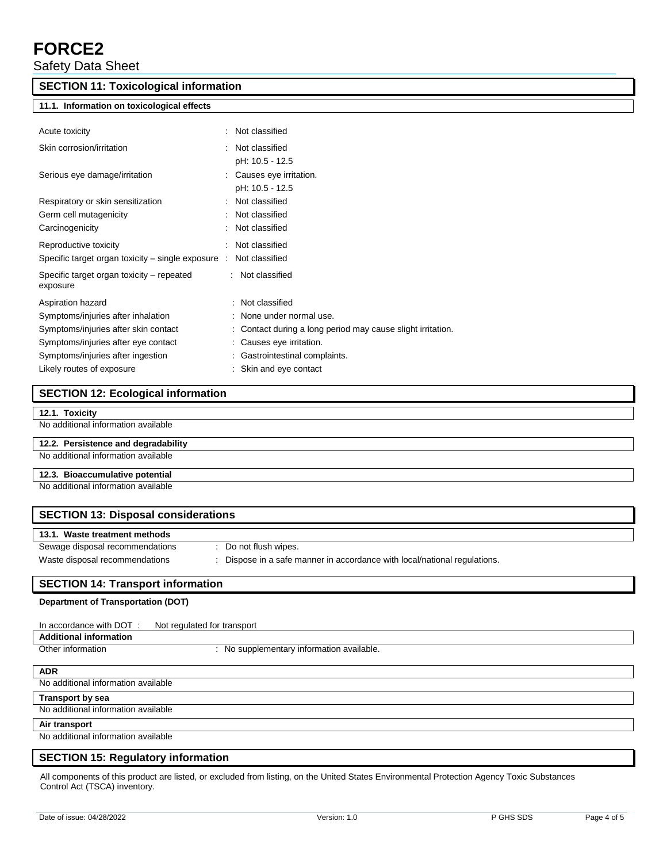# **FORCE2**

Safety Data Sheet

### **SECTION 11: Toxicological information**

#### **11.1. Information on toxicological effects**

| Acute toxicity                                                               | ÷. | Not classified                                              |
|------------------------------------------------------------------------------|----|-------------------------------------------------------------|
| Skin corrosion/irritation                                                    |    | : Not classified                                            |
|                                                                              |    | pH: 10.5 - 12.5                                             |
| Serious eye damage/irritation                                                |    | : Causes eye irritation.                                    |
|                                                                              |    | pH: 10.5 - 12.5                                             |
| Respiratory or skin sensitization                                            |    | : Not classified                                            |
| Germ cell mutagenicity                                                       |    | : Not classified                                            |
| Carcinogenicity                                                              |    | : Not classified                                            |
| Reproductive toxicity                                                        |    | : Not classified                                            |
| Specific target organ toxicity – single exposure $\therefore$ Not classified |    |                                                             |
| Specific target organ toxicity – repeated                                    |    | : Not classified                                            |
| exposure                                                                     |    |                                                             |
| Aspiration hazard                                                            |    | : Not classified                                            |
| Symptoms/injuries after inhalation                                           |    | : None under normal use.                                    |
| Symptoms/injuries after skin contact                                         |    | : Contact during a long period may cause slight irritation. |
| Symptoms/injuries after eye contact                                          |    | : Causes eye irritation.                                    |
| Symptoms/injuries after ingestion                                            |    | : Gastrointestinal complaints.                              |
| Likely routes of exposure                                                    |    | : Skin and eye contact                                      |

# **SECTION 12: Ecological information**

#### No additional information available

#### **12.2. Persistence and degradability**

No additional information available

#### **12.3. Bioaccumulative potential**

No additional information available

| <b>SECTION 13: Disposal considerations</b> |                                                                         |  |
|--------------------------------------------|-------------------------------------------------------------------------|--|
| 13.1. Waste treatment methods              |                                                                         |  |
| Sewage disposal recommendations            | Do not flush wipes.                                                     |  |
| Waste disposal recommendations             | Dispose in a safe manner in accordance with local/national regulations. |  |

# **SECTION 14: Transport information**

#### **Department of Transportation (DOT)**

| In accordance with DOT:             | Not regulated for transport               |
|-------------------------------------|-------------------------------------------|
| <b>Additional information</b>       |                                           |
| Other information                   | : No supplementary information available. |
|                                     |                                           |
| <b>ADR</b>                          |                                           |
| No additional information available |                                           |

#### **Transport by sea**

No additional information available

#### **Air transport**

 $\overline{\phantom{a}}$ 

No additional information available

#### **SECTION 15: Regulatory information**

All components of this product are listed, or excluded from listing, on the United States Environmental Protection Agency Toxic Substances Control Act (TSCA) inventory.